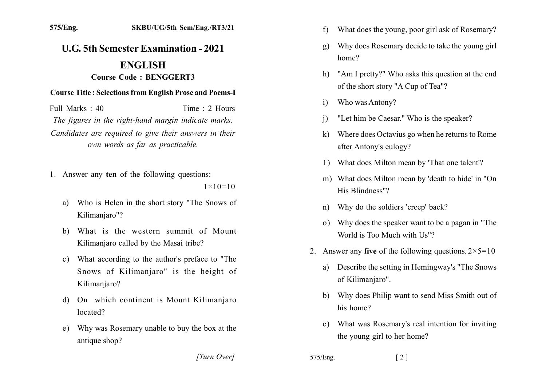## **U.G. 5th Semester Examination - 2021 ENGLISH** Course Code: BENGGERT3

## **Course Title: Selections from English Prose and Poems-I**

Full Marks  $\cdot$  40 Time  $\cdot$  2 Hours The figures in the right-hand margin indicate marks. Candidates are required to give their answers in their own words as far as practicable.

- 1. Answer any ten of the following questions:  $1 \times 10 = 10$ 
	- Who is Helen in the short story "The Snows of a) Kilimanjaro"?
	- b) What is the western summit of Mount Kilimanjaro called by the Masai tribe?
	- c) What according to the author's preface to "The Snows of Kilimanjaro" is the height of Kilimaniaro?
	- d) On which continent is Mount Kilimanjaro located?
	- e) Why was Rosemary unable to buy the box at the antique shop?

[Turn Over]

- What does the young, poor girl ask of Rosemary? f)
- Why does Rosemary decide to take the young girl g) home?
- "Am I pretty?" Who asks this question at the end h) of the short story "A Cup of Tea"?
- Who was Antony?  $\mathbf{i}$
- "Let him be Caesar." Who is the speaker?  $\mathbf{i}$
- Where does Octavius go when he returns to Rome  $\bf k$ after Antony's eulogy?
- 1) What does Milton mean by 'That one talent'?
- m) What does Milton mean by 'death to hide' in "On His Blindness"?
- Why do the soldiers 'creep' back?  $n)$
- Why does the speaker want to be a pagan in "The  $\Omega$ World is Too Much with Us"?
- 2. Answer any five of the following questions.  $2 \times 5 = 10$ 
	- Describe the setting in Hemingway's "The Snows a) of Kilimanjaro".
	- b) Why does Philip want to send Miss Smith out of his home?
	- c) What was Rosemary's real intention for inviting the young girl to her home?
- 575/Eng.  $\lceil 2 \rceil$